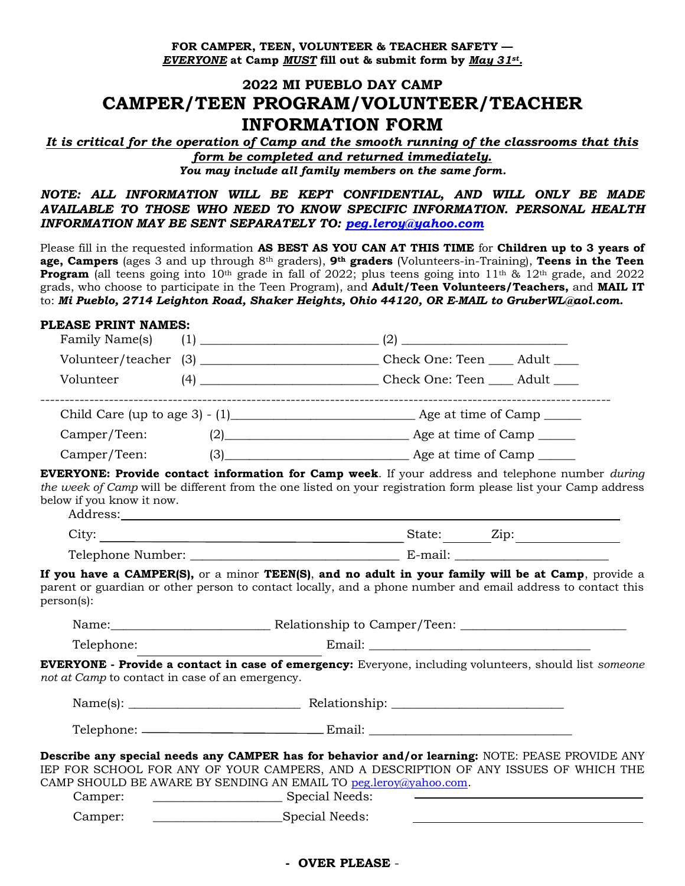**FOR CAMPER, TEEN, VOLUNTEER & TEACHER SAFETY —** *EVERYONE* **at Camp** *MUST* **fill out & submit form by** *May 31st.*

# **2022 MI PUEBLO DAY CAMP CAMPER/TEEN PROGRAM/VOLUNTEER/TEACHER INFORMATION FORM**

*It is critical for the operation of Camp and the smooth running of the classrooms that this form be completed and returned immediately. You may include all family members on the same form.*

*NOTE: ALL INFORMATION WILL BE KEPT CONFIDENTIAL, AND WILL ONLY BE MADE AVAILABLE TO THOSE WHO NEED TO KNOW SPECIFIC INFORMATION. PERSONAL HEALTH INFORMATION MAY BE SENT SEPARATELY TO: [peg.leroy@yahoo.com](mailto:peg.leroy@yahoo.com)*

Please fill in the requested information **AS BEST AS YOU CAN AT THIS TIME** for **Children up to 3 years of age, Campers** (ages 3 and up through 8th graders), **9th graders** (Volunteers-in-Training), **Teens in the Teen Program** (all teens going into 10<sup>th</sup> grade in fall of 2022; plus teens going into 11<sup>th</sup> & 12<sup>th</sup> grade, and 2022 grads, who choose to participate in the Teen Program), and **Adult/Teen Volunteers/Teachers,** and **MAIL IT**  to: *Mi Pueblo, 2714 Leighton Road, Shaker Heights, Ohio 44120, OR E-MAIL to GruberWL@aol.com.*

#### **PLEASE PRINT NAMES:**

| Family Name(s)                                  |  |                                                                                                                                                                                                                                                                               |  |  |  |  |  |  |
|-------------------------------------------------|--|-------------------------------------------------------------------------------------------------------------------------------------------------------------------------------------------------------------------------------------------------------------------------------|--|--|--|--|--|--|
|                                                 |  |                                                                                                                                                                                                                                                                               |  |  |  |  |  |  |
| Volunteer                                       |  |                                                                                                                                                                                                                                                                               |  |  |  |  |  |  |
|                                                 |  |                                                                                                                                                                                                                                                                               |  |  |  |  |  |  |
| Camper/Teen:                                    |  | (2) Age at time of Camp                                                                                                                                                                                                                                                       |  |  |  |  |  |  |
| Camper/Teen:                                    |  | (3) Age at time of Camp                                                                                                                                                                                                                                                       |  |  |  |  |  |  |
| below if you know it now.                       |  | <b>EVERYONE: Provide contact information for Camp week</b> . If your address and telephone number during<br>the week of Camp will be different from the one listed on your registration form please list your Camp address                                                    |  |  |  |  |  |  |
|                                                 |  |                                                                                                                                                                                                                                                                               |  |  |  |  |  |  |
|                                                 |  |                                                                                                                                                                                                                                                                               |  |  |  |  |  |  |
| person(s):                                      |  | If you have a CAMPER(S), or a minor TEEN(S), and no adult in your family will be at Camp, provide a<br>parent or guardian or other person to contact locally, and a phone number and email address to contact this                                                            |  |  |  |  |  |  |
|                                                 |  |                                                                                                                                                                                                                                                                               |  |  |  |  |  |  |
| Telephone:                                      |  |                                                                                                                                                                                                                                                                               |  |  |  |  |  |  |
| not at Camp to contact in case of an emergency. |  | <b>EVERYONE - Provide a contact in case of emergency:</b> Everyone, including volunteers, should list someone                                                                                                                                                                 |  |  |  |  |  |  |
|                                                 |  |                                                                                                                                                                                                                                                                               |  |  |  |  |  |  |
|                                                 |  |                                                                                                                                                                                                                                                                               |  |  |  |  |  |  |
| Camper:                                         |  | Describe any special needs any CAMPER has for behavior and/or learning: NOTE: PEASE PROVIDE ANY<br>IEP FOR SCHOOL FOR ANY OF YOUR CAMPERS, AND A DESCRIPTION OF ANY ISSUES OF WHICH THE<br>CAMP SHOULD BE AWARE BY SENDING AN EMAIL TO peg.leroy@yahoo.com.<br>Special Needs: |  |  |  |  |  |  |
| Camper:                                         |  |                                                                                                                                                                                                                                                                               |  |  |  |  |  |  |

#### **- OVER PLEASE** -